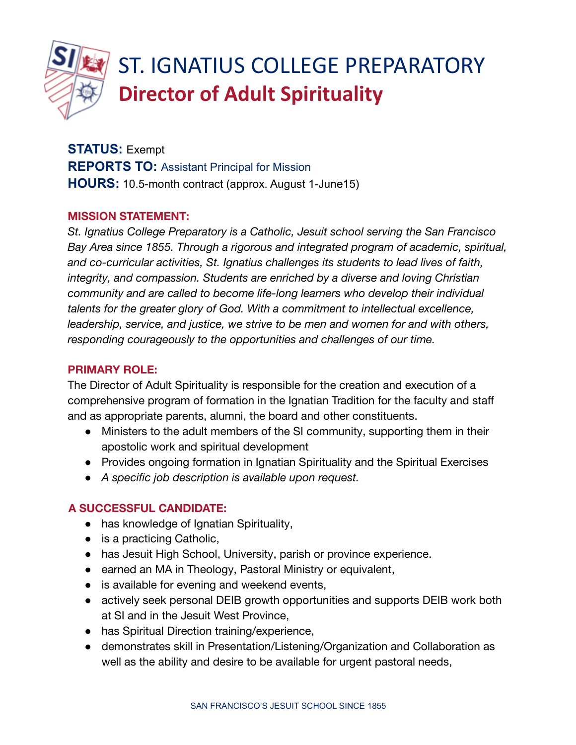

# ST. IGNATIUS COLLEGE PREPARATORY **Director of Adult Spirituality**

**STATUS:** Exempt **REPORTS TO:** Assistant Principal for Mission **HOURS:** 10.5-month contract (approx. August 1-June15)

## **MISSION STATEMENT:**

*St. Ignatius College Preparatory is a Catholic, Jesuit school serving the San Francisco Bay Area since 1855. Through a rigorous and integrated program of academic, spiritual, and co-curricular activities, St. Ignatius challenges its students to lead lives of faith, integrity, and compassion. Students are enriched by a diverse and loving Christian community and are called to become life-long learners who develop their individual talents for the greater glory of God. With a commitment to intellectual excellence, leadership, service, and justice, we strive to be men and women for and with others, responding courageously to the opportunities and challenges of our time.*

## **PRIMARY ROLE:**

The Director of Adult Spirituality is responsible for the creation and execution of a comprehensive program of formation in the Ignatian Tradition for the faculty and staff and as appropriate parents, alumni, the board and other constituents.

- Ministers to the adult members of the SI community, supporting them in their apostolic work and spiritual development
- Provides ongoing formation in Ignatian Spirituality and the Spiritual Exercises
- *A specific job description is available upon request.*

# **A SUCCESSFUL CANDIDATE:**

- has knowledge of Ignatian Spirituality,
- $\bullet$  is a practicing Catholic,
- has Jesuit High School, University, parish or province experience.
- earned an MA in Theology, Pastoral Ministry or equivalent,
- is available for evening and weekend events,
- actively seek personal DEIB growth opportunities and supports DEIB work both at SI and in the Jesuit West Province,
- has Spiritual Direction training/experience,
- demonstrates skill in Presentation/Listening/Organization and Collaboration as well as the ability and desire to be available for urgent pastoral needs,